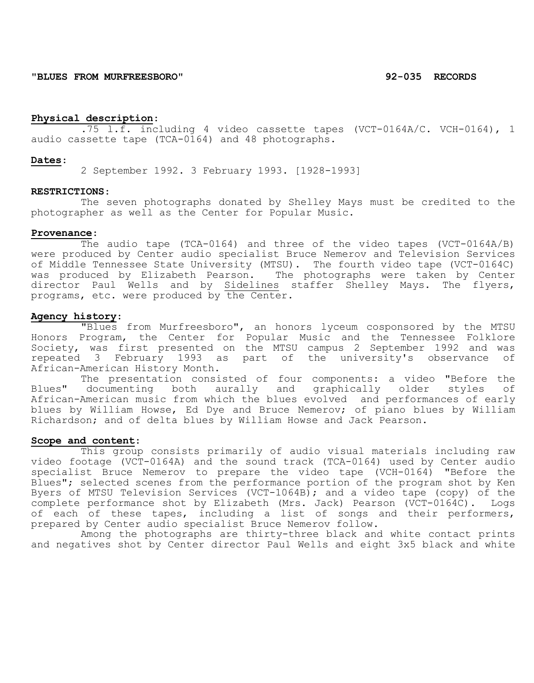**"BLUES FROM MURFREESBORO" 92-035 RECORDS**

## **Physical description**:

.75 l.f. including 4 video cassette tapes (VCT-0164A/C. VCH-0164), 1 audio cassette tape (TCA-0164) and 48 photographs.

#### **Dates**:

2 September 1992. 3 February 1993. [1928-1993]

#### **RESTRICTIONS**:

The seven photographs donated by Shelley Mays must be credited to the photographer as well as the Center for Popular Music.

#### **Provenance**:

The audio tape (TCA-0164) and three of the video tapes (VCT-0164A/B) were produced by Center audio specialist Bruce Nemerov and Television Services of Middle Tennessee State University (MTSU). The fourth video tape (VCT-0164C) was produced by Elizabeth Pearson. The photographs were taken by Center director Paul Wells and by Sidelines staffer Shelley Mays. The flyers, programs, etc. were produced by the Center.

## **Agency history**:

"Blues from Murfreesboro", an honors lyceum cosponsored by the MTSU Honors Program, the Center for Popular Music and the Tennessee Folklore Society, was first presented on the MTSU campus 2 September 1992 and was repeated 3 February 1993 as part of the university's observance of African-American History Month.

The presentation consisted of four components: a video "Before the<br>documenting both aurally and graphically older styles of Blues" documenting both aurally and graphically older styles African-American music from which the blues evolved and performances of early blues by William Howse, Ed Dye and Bruce Nemerov; of piano blues by William Richardson; and of delta blues by William Howse and Jack Pearson.

### **Scope and content**:

This group consists primarily of audio visual materials including raw video footage (VCT-0164A) and the sound track (TCA-0164) used by Center audio specialist Bruce Nemerov to prepare the video tape (VCH-0164) "Before the Blues"; selected scenes from the performance portion of the program shot by Ken Byers of MTSU Television Services (VCT-1064B); and a video tape (copy) of the complete performance shot by Elizabeth (Mrs. Jack) Pearson (VCT-0164C). Logs of each of these tapes, including a list of songs and their performers, prepared by Center audio specialist Bruce Nemerov follow.

Among the photographs are thirty-three black and white contact prints and negatives shot by Center director Paul Wells and eight 3x5 black and white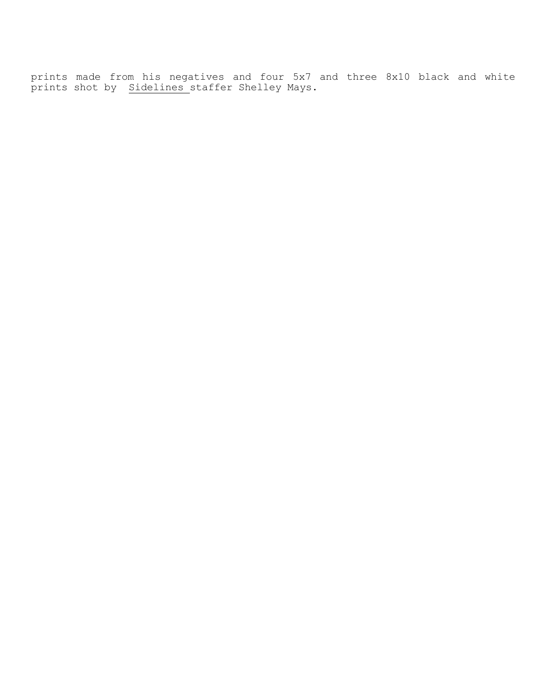prints made from his negatives and four 5x7 and three 8x10 black and white prints shot by Sidelines staffer Shelley Mays.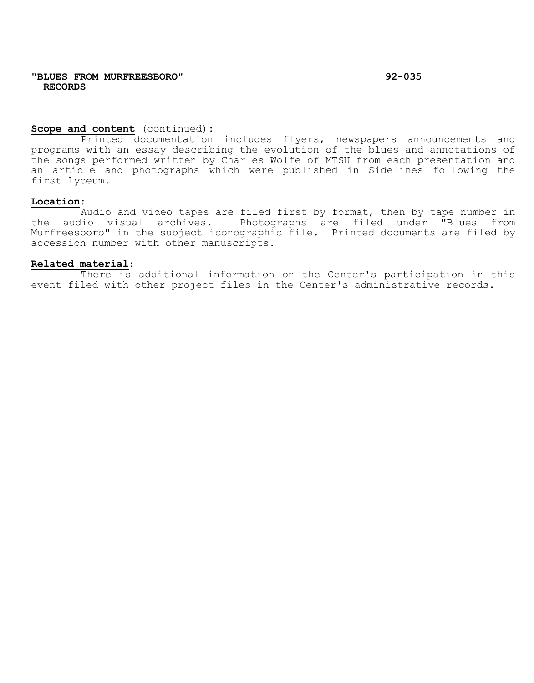# **Scope and content** (continued):

Printed documentation includes flyers, newspapers announcements and programs with an essay describing the evolution of the blues and annotations of the songs performed written by Charles Wolfe of MTSU from each presentation and an article and photographs which were published in Sidelines following the first lyceum.

## **Location**:

Audio and video tapes are filed first by format, then by tape number in the audio visual archives. Photographs are filed under "Blues from Murfreesboro" in the subject iconographic file. Printed documents are filed by accession number with other manuscripts.

### **Related material**:

There is additional information on the Center's participation in this event filed with other project files in the Center's administrative records.